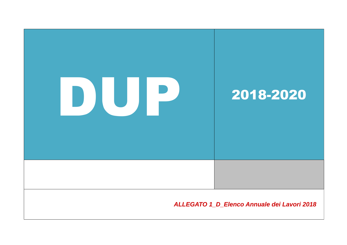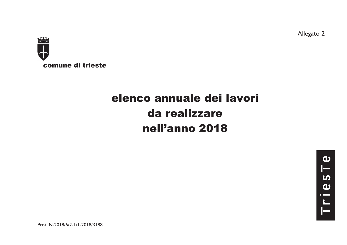Allegato 2



# elenco annuale dei lavori da realizzarenell'anno 2018

Prot. N-2018/6/2-1/1-2018/3188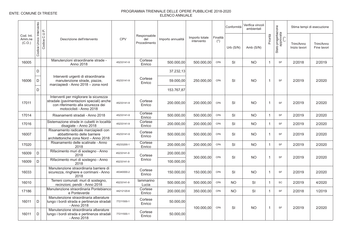|                               |                            |                                                                                                                                                      |            |                                     |                   |                              |                   | Conformità  | Verifica vincoli<br>ambientali |                |                                          |                            | Stima tempi di esecuzione |
|-------------------------------|----------------------------|------------------------------------------------------------------------------------------------------------------------------------------------------|------------|-------------------------------------|-------------------|------------------------------|-------------------|-------------|--------------------------------|----------------|------------------------------------------|----------------------------|---------------------------|
| Cod. Int.<br>Amm.ne<br>(C.O.) | Unico Intervento<br>Codice | Codice C.U.P.<br>Descrizione dell'intervento                                                                                                         | <b>CPV</b> | Responsabile<br>del<br>Procedimento | Importo annualità | Importo totale<br>intervento | Finalità<br>$(*)$ | Urb $(S/N)$ | Amb $(S/N)$                    | Priorità       | Stato progettazione<br>approvata<br>(**) | Trim/Anno<br>Inizio lavori | Trim/Anno<br>Fine lavori  |
| 16005                         |                            | Manutenzioni straordinarie strade -<br>Anno 2018                                                                                                     | 45233141-9 | Cortese<br>Enrico                   | 500.000,00        | 500.000,00                   | CPA               | SI          | <b>NO</b>                      | $\mathbf{1}$   | SF                                       | 2/2018                     | 2/2019                    |
|                               | D                          |                                                                                                                                                      |            |                                     | 37.232,13         |                              |                   |             |                                |                |                                          |                            |                           |
| 16006                         | D                          | Interventi urgenti di straordinaria<br>manutenzione strade, piazze,<br>marciapiedi - Anno 2018 - zona nord                                           | 45233141-9 | Cortese<br>Enrico                   | 59.000,00         | 250.000,00                   | CPA               | SI          | <b>NO</b>                      | $\overline{1}$ | SF                                       | 2/2019                     | 2/2020                    |
|                               | D                          |                                                                                                                                                      |            |                                     | 153.767,87        |                              |                   |             |                                |                |                                          |                            |                           |
| 17011                         |                            | Interventi per migliorare la sicurezza<br>stradale (pavimentazioni speciali) anche<br>con riferimento alla sicurezza dei<br>motociclisti - Anno 2018 | 45233141-9 | Cortese<br>Enrico                   | 200.000,00        | 200.000,00                   | CPA               | SI          | <b>NO</b>                      | $\overline{1}$ | <b>SF</b>                                | 2/2019                     | 2/2020                    |
| 17014                         |                            | Risanamenti stradali - Anno 2018                                                                                                                     | 45233141-9 | Cortese<br>Enrico                   | 500.000,00        | 500.000,00                   | CPA               | <b>SI</b>   | <b>NO</b>                      | $\mathbf{1}$   | <b>SF</b>                                | 2/2019                     | 2/2020                    |
| 17016                         |                            | Sistemazione strade in cubetti in località<br>disagiate - Anno 2018                                                                                  | 45233141-9 | Cortese<br>Enrico                   | 200.000.00        | 200.000.00                   | CPA               | SI          | <b>NO</b>                      | $\mathbf{1}$   | SF                                       | 2/2019                     | 2/2020                    |
| 16007                         |                            | Risanamento radicale marciapiedi con<br>abbattimento delle barriere<br>architettoniche zona Nord - Anno 2018                                         | 45233141-9 | Cortese<br>Enrico                   | 500.000,00        | 500.000,00                   | CPA               | SI          | <b>NO</b>                      | $\overline{1}$ | <b>SF</b>                                | 2/2019                     | 2/2020                    |
| 17020                         |                            | Risanamento delle scalinate - Anno<br>2018                                                                                                           | 45233200-1 | Cortese<br>Enrico                   | 200.000,00        | 200.000,00                   | CPA               | <b>SI</b>   | <b>NO</b>                      | $\overline{1}$ | SF                                       | 2/2019                     | 2/2020                    |
| 16009                         | D                          | Rifacimento muri di sostegno - Anno<br>2018                                                                                                          | 45233141-9 | Cortese                             | 200.000,00        | 300.000,00                   | CPA               | SI          | <b>NO</b>                      | $\overline{1}$ | <b>SF</b>                                | 2/2019                     | 2/2020                    |
| 16009                         | D                          | Rifacimento muri di sostegno - Anno<br>2018                                                                                                          | 45233141-9 | Enrico                              | 100.000,00        |                              |                   |             |                                |                |                                          |                            |                           |
| 16033                         |                            | Manutenzione straordinaria barriere di<br>sicurezza, ringhiere e corrimani - Anno<br>2018                                                            | 45340000-2 | Cortese<br>Enrico                   | 150.000.00        | 150.000.00                   | CPA               | <b>SI</b>   | <b>NO</b>                      | $\mathbf{1}$   | SF                                       | 2/2019                     | 2/2020                    |
| 16010                         |                            | Terreni comunali: muri di sostegno,<br>recinzioni, pendii - Anno 2018                                                                                | 45233141-9 | lammarino<br>Lucia                  | 500.000.00        | 500.000,00                   | CPA               | <b>NO</b>   | <b>SI</b>                      | $\mathbf{1}$   | SC                                       | 2/2019                     | 4/2020                    |
| 17186                         |                            | Manutenzione straordinaria Pontebianco<br>e Ponteverde                                                                                               | 44212120-6 | Cortese<br>Enrico                   | 200.000,00        | 350.000,00                   | CPA               | <b>NO</b>   | SI                             | $\overline{1}$ | SF                                       | 2/2018                     | 1/2019                    |
| 16011                         | D                          | Manutenzione straordinaria alberature<br>lungo i bordi strada e pertinenze stradali<br>- Anno 2018                                                   | 77211500-1 | Cortese<br>Enrico                   | 50.000,00         | 100.000.00                   | CPA               | <b>SI</b>   | <b>NO</b>                      | $\overline{1}$ | SF                                       | 2/2019                     | 2/2020                    |
| 16011                         | D                          | Manutenzione straordinaria alberature<br>lungo i bordi strada e pertinenze stradali<br>- Anno 2018                                                   | 77211500-1 | Cortese<br>Enrico                   | 50.000,00         |                              |                   |             |                                |                |                                          |                            |                           |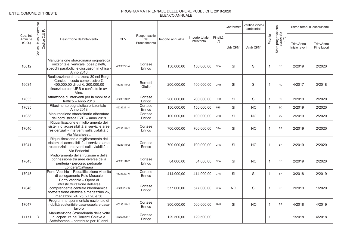|                               | Intervento   |                                                                                                                                                                              |            |                                     |                   |                              |                          | Conformità | Verifica vincoli<br>ambientali |                |                                          |                            | Stima tempi di esecuzione |
|-------------------------------|--------------|------------------------------------------------------------------------------------------------------------------------------------------------------------------------------|------------|-------------------------------------|-------------------|------------------------------|--------------------------|------------|--------------------------------|----------------|------------------------------------------|----------------------------|---------------------------|
| Cod. Int.<br>Amm.ne<br>(C.O.) | Codice Unico | Codice C.U.P.<br>Descrizione dell'intervento                                                                                                                                 | <b>CPV</b> | Responsabile<br>del<br>Procedimento | Importo annualità | Importo totale<br>intervento | Finalità<br>$(*)$        | Urb(S/N)   | Amb (S/N)                      | Priorità       | Stato progettazione<br>approvata<br>(**) | Trim/Anno<br>Inizio lavori | Trim/Anno<br>Fine lavori  |
| 16012                         |              | Manutenzione straordinaria segnaletica<br>orizzontale, verticale, posa paletti,<br>specchi parabolici e dissuasori in ghisa -<br>Anno 2018                                   | 45233221-4 | Cortese<br>Enrico                   | 150.000,00        | 150.000,00                   | CPA                      | SI         | SI                             | $\overline{1}$ | SF                                       | 2/2019                     | 2/2020                    |
| 16034                         |              | Realizzazione di una zona 30 nel Borgo<br>Carsico - costo complessivo €.<br>400.000,00 di cui €. 200.000,00<br>finanziato con URB e confluito in av.<br>Vinc.                | 45233140-2 | <b>Bernetti</b><br>Giulio           | 200.000,00        | 400.000,00                   | <b>URB</b>               | SI         | SI                             | $\overline{1}$ | PD                                       | 4/2017                     | 3/2018                    |
| 17033                         |              | Attuazione di interventi per la mobilità e<br>traffico - Anno 2018                                                                                                           | 45233140-2 | Cortese<br>Enrico                   | 200.000,00        | 200.000,00                   | <b>URB</b>               | SI         | SI                             | $\overline{1}$ | <b>SC</b>                                | 2/2019                     | 2/2020                    |
| 17035                         |              | Rifacimento segnaletica orizzontale -<br>Anno 2018                                                                                                                           | 45233221-4 | Cortese<br>Enrico                   | 150.000,00        | 150.000,00                   | <b>MIS</b>               | SI         | <b>NO</b>                      | $\overline{1}$ | <b>SC</b>                                | 2/2019                     | 2/2020                    |
| 17038                         |              | Manutenzione straordinaria alberature<br>dei bordi strada EZIT - anno 2018                                                                                                   |            | Cortese<br>Enrico                   | 100.000,00        | 100.000,00                   | <b>URB</b>               | SI         | <b>NO</b>                      | $\overline{1}$ | <b>SC</b>                                | 2/2019                     | 2/2020                    |
| 17040                         |              | Riqualificazione e miglioramento dei<br>sistemi di accessibilità ai servizi e aree<br>residenziali - interventi sulla viabilità di<br>Via Marchesetti                        | 45233140-2 | Cortese<br>Enrico                   | 700.000,00        | 700.000,00                   | CPA                      | SI         | <b>NO</b>                      | $\overline{1}$ | <b>SF</b>                                | 2/2019                     | 2/2020                    |
| 17041                         |              | Riqualificazione e miglioramento dei<br>sistemi di accessibilità ai servizi e aree<br>residenziali - interventi sulla viabilità di<br>Via Forlanini                          | 45233140-2 | Cortese<br>Enrico                   | 700.000,00        | 700.000.00                   | CPA                      | SI         | <b>NO</b>                      | $\overline{1}$ | SF                                       | 2/2019                     | 2/2020                    |
| 17043                         |              | Miglioramento della fruizione e della<br>connessione tra aree diverse della<br>periferia - percorso pedonale<br>Longera/Cattinara                                            | 45233140-2 | Cortese<br>Enrico                   | 84.000,00         | 84.000,00                    | CPA                      | SI         | <b>NO</b>                      | $\overline{1}$ | SF                                       | 2/2019                     | 2/2020                    |
| 17045                         |              | Porto Vecchio - Riqualificazione viabilità<br>di collegamento Polo Museale                                                                                                   | 45233227-6 | Cortese<br>Enrico                   | 414.000,00        | 414.000.00                   | CPA                      | <b>SI</b>  | SI                             | $\mathbf{1}$   | SF                                       | 3/2018                     | 2/2019                    |
| 17046                         |              | Porto Vecchio - Opere di<br>infrastrutturazione dell'area<br>comprendente centrale idrodinamica,<br>sottostazione elettrica e magazzino 26,<br>magazzini 24, 25, 27, 28 e 30 | 45233227-6 | Cortese<br>Enrico                   | 577.000,00        | 577.000,00                   | CPA                      | <b>NO</b>  | SI                             | $\overline{1}$ | SF                                       | 2/2019                     | 1/2020                    |
| 17047                         |              | Programma sperimentale nazionale di<br>mobilità sostenibile casa-scuola e casa-<br>lavoro                                                                                    | 45233140-2 | Cortese<br>Enrico                   | 300.000,00        | 500.000,00                   | AMB                      | SI         | <b>NO</b>                      | $\overline{1}$ | <b>SF</b>                                | 4/2018                     | 4/2019                    |
| 17171                         | D            | Manutenzione Straordinaria delle volte<br>di copertura dei Torrenti Chiave e<br>Settefontane – contributo per 10 anni                                                        | 45260000-7 | Cortese<br>Enrico                   | 129.500,00        | 129.500,00                   | $\overline{\phantom{0}}$ |            |                                | -1             | $\overline{\phantom{0}}$                 | 1/2018                     | 4/2018                    |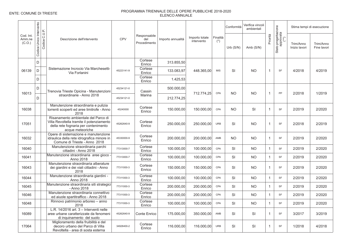|                               |                                             |                                                                                                                                              |            |                                     |                   |                              |                   | Conformità | Verifica vincoli<br>ambientali |                |                                          |                            | Stima tempi di esecuzione |
|-------------------------------|---------------------------------------------|----------------------------------------------------------------------------------------------------------------------------------------------|------------|-------------------------------------|-------------------|------------------------------|-------------------|------------|--------------------------------|----------------|------------------------------------------|----------------------------|---------------------------|
| Cod. Int.<br>Amm.ne<br>(C.O.) | Unico Intervento<br>Codice C.U.P.<br>Codice | Descrizione dell'intervento                                                                                                                  | <b>CPV</b> | Responsabile<br>del<br>Procedimento | Importo annualità | Importo totale<br>intervento | Finalità<br>$(*)$ | Urb(S/N)   | Amb $(S/N)$                    | Priorità       | Stato progettazione<br>approvata<br>(**) | Trim/Anno<br>Inizio lavori | Trim/Anno<br>Fine lavori  |
|                               | D                                           |                                                                                                                                              |            | Cortese<br>Enrico                   | 313.855,50        |                              |                   |            |                                |                |                                          |                            |                           |
| 06139                         | D                                           | Sistemazione Incrocio Via Marchesetti-<br>Via Forlanini                                                                                      | 45223141-9 | Cortese<br>Enrico                   | 133.083,97        | 448.365,00                   | <b>MIS</b>        | SI         | <b>NO</b>                      | $\overline{1}$ | SF                                       | 4/2018                     | 4/2019                    |
|                               | D                                           |                                                                                                                                              |            | Cortese<br>Enrico                   | 1.425,53          |                              |                   |            |                                |                |                                          |                            |                           |
| 16013                         | D                                           | Trenovia Trieste Opicina - Manutenzioni                                                                                                      | 45234121-0 | Cassin                              | 500.000,00        | 712.774,25                   | CPA               | <b>NO</b>  | <b>NO</b>                      | $\overline{1}$ | PP                                       | 2/2018                     | 1/2019                    |
|                               | D                                           | straordinarie - Anno 2018                                                                                                                    | 45234121-0 | Marina                              | 212.774,25        |                              |                   |            |                                |                |                                          |                            |                           |
| 16038                         |                                             | Manutenzione straordinaria e pulizia<br>torrenti scoperti ed aree limitrofe - Anno<br>2018                                                   | 45240000   | Cortese<br>Enrico                   | 150.000,00        | 150.000,00                   | CPA               | <b>NO</b>  | SI                             | $\mathbf{1}$   | SF                                       | 2/2019                     | 2/2020                    |
| 17051                         |                                             | Risanamento ambientale del Parco di<br>Villa Revoltella tramite il potenziamento<br>della rete fognaria per contenimento<br>acque meteoriche | 45262640-9 | Cortese<br>Enrico                   | 250.000,00        | 250.000,00                   | URB               | SI         | <b>NO</b>                      | $\overline{1}$ | SF                                       | 2/2018                     | 2/2019                    |
| 16032                         |                                             | Opere di sistemazione e manutenzione<br>idraulica della rete idrografica minore in<br>Comune di Trieste - Anno 2018                          | 45330000-9 | Cortese<br>Enrico                   | 200.000,00        | 200.000,00                   | AMB               | <b>NO</b>  | <b>NO</b>                      | $\overline{1}$ | <b>SF</b>                                | 2/2019                     | 2/2020                    |
| 16040                         |                                             | Manutenzione straordinaria parchi<br>cittadini - Anno 2018                                                                                   | 77313000-7 | Cortese<br>Enrico                   | 100.000,00        | 100.000,00                   | CPA               | <b>SI</b>  | <b>NO</b>                      | $\mathbf{1}$   | SF                                       | 2/2019                     | 2/2020                    |
| 16041                         |                                             | Manutenzione straordinaria aree gioco<br>Anno 2018                                                                                           | 77313000-7 | Cortese<br>Enrico                   | 100.000,00        | 100.000,00                   | CPA               | <b>SI</b>  | <b>NO</b>                      | $\overline{1}$ | SF                                       | 2/2019                     | 2/2020                    |
| 16043                         |                                             | Manutenzione straordinaria alberature<br>dei giardini e dei viali cittadini - Anno<br>2018                                                   | 77311000-3 | Cortese<br>Enrico                   | 150.000,00        | 150.000,00                   | CPA               | SI         | <b>NO</b>                      | $\mathbf{1}$   | SF                                       | 2/2019                     | 2/2020                    |
| 16044                         |                                             | Manutenzione straordinaria giardini -<br>Anno 2018                                                                                           | 77311000-3 | Cortese<br>Enrico                   | 100.000,00        | 100.000,00                   | CPA               | SI         | <b>NO</b>                      | $\mathbf{1}$   | SF                                       | 2/2019                     | 2/2020                    |
| 16045                         |                                             | Manutenzione straordinaria siti strategici<br>- Anno 2018                                                                                    | 77311000-3 | Cortese<br>Enrico                   | 200.000,00        | 200.000,00                   | CPA               | <b>SI</b>  | <b>NO</b>                      | $\overline{1}$ | SF                                       | 2/2019                     | 2/2020                    |
| 16046                         |                                             | Manutenzione straordinaria connettivo<br>ed aiuole spartitraffico - Anno 2018                                                                | 77311000-3 | Cortese<br>Enrico                   | 200.000,00        | 200.000,00                   | CPA               | <b>SI</b>  | <b>NO</b>                      | $\overline{1}$ | SF                                       | 2/2019                     | 2/2020                    |
| 16048                         |                                             | Rinnovo patrimonio arboreo - anno<br>2018                                                                                                    | 77311000-3 | Cortese<br>Enrico                   | 100.000.00        | 100.000,00                   | CPA               | <b>SI</b>  | <b>NO</b>                      | $\overline{1}$ | SF                                       | 2/2019                     | 2/2020                    |
| 16089                         |                                             | L.R. 14/2016 art. 3 - Interventi nelle<br>aree urbane caratterizzate da fenomeni<br>di inquinamento del suolo                                | 45262640-9 | <b>Conte Enrico</b>                 | 175.000,00        | 350.000,00                   | AMB               | <b>SI</b>  | SI                             | $\overline{1}$ | SF                                       | 3/2017                     | 3/2019                    |
| 17064                         |                                             | Miglioramento della fruibilità e del<br>decoro urbano del Parco di Villa<br>Revoltella - area di sosta esterna                               | 34928400-2 | Cortese<br>Enrico                   | 116.000,00        | 116.000,00                   | <b>URB</b>        | SI         | SI                             | $\overline{1}$ | <b>SF</b>                                | 1/2018                     | 4/2018                    |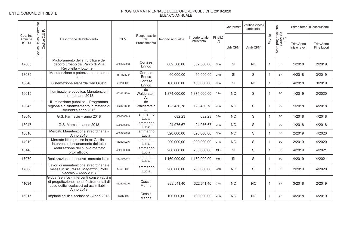|                               | Intervento      |               |                                                                                                                                                 |            |                                     |                   |                              |                   | Conformità | Verifica vincoli<br>ambientali |              |                                          |                            | Stima tempi di esecuzione |
|-------------------------------|-----------------|---------------|-------------------------------------------------------------------------------------------------------------------------------------------------|------------|-------------------------------------|-------------------|------------------------------|-------------------|------------|--------------------------------|--------------|------------------------------------------|----------------------------|---------------------------|
| Cod. Int.<br>Amm.ne<br>(C.O.) | Unico<br>Codice | Codice C.U.P. | Descrizione dell'intervento                                                                                                                     | <b>CPV</b> | Responsabile<br>del<br>Procedimento | Importo annualità | Importo totale<br>intervento | Finalità<br>$(*)$ | Urb (S/N)  | Amb $(S/N)$                    | Priorità     | Stato progettazione<br>approvata<br>(**) | Trim/Anno<br>Inizio lavori | Trim/Anno<br>Fine lavori  |
| 17065                         |                 |               | Miglioramento della fruibilità e del<br>decoro urbano del Parco di Villa<br>Revoltella - lotto I e II                                           | 45262522-6 | Cortese<br>Enrico                   | 802.500,00        | 802.500,00                   | CPA               | SI         | <b>NO</b>                      | $\mathbf{1}$ | SF                                       | 1/2018                     | 2/2019                    |
| 18039                         |                 |               | Manutenzione e potenziamento aree<br>cani                                                                                                       | 45111230-9 | Cortese<br>Enrico                   | 60.000,00         | 60.000,00                    | <b>URB</b>        | <b>SI</b>  | SI                             | $\mathbf{1}$ | <b>SF</b>                                | 4/2018                     | 3/2019                    |
| 18040                         |                 |               | Sistemazione Alabarda San Giusto                                                                                                                | 773100003  | Cortese<br>Enrico                   | 100.000,00        | 100.000,00                   | CPA               | <b>SI</b>  | <b>NO</b>                      | $\mathbf{1}$ | <b>SF</b>                                | 4/2018                     | 3/2019                    |
| 16015                         |                 |               | Illuminazione pubblica: Manutenzioni<br>straordinarie 2018                                                                                      | 45316110-9 | de<br>Walderstein<br>А.             | 1.874.000,00      | 1.874.000,00                 | CPA               | <b>NO</b>  | SI                             | $\mathbf{1}$ | SC                                       | 1/2019                     | 2/2020                    |
| 18045                         |                 |               | Illuminazione pubblica - Programma<br>regionale di finanziamento in materia di<br>sicurezza anno 2016                                           | 45316110-9 | de<br>Walderstein<br>Α.             | 123.430.78        | 123.430.78                   | CPA               | <b>NO</b>  | SI                             | $\mathbf{1}$ | SC                                       | 1/2018                     | 4/2018                    |
| 18046                         |                 |               | G.S. Farmacie - anno 2018                                                                                                                       | 50000000-5 | lammarino<br>Lucia                  | 682,23            | 682,23                       | CPA               | <b>NO</b>  | SI                             | $\mathbf{1}$ | SC                                       | 1/2018                     | 4/2018                    |
| 18047                         |                 |               | G.S. Mercati - anno 2018                                                                                                                        | 50000000-5 | lammarino<br>Lucia                  | 24.976.67         | 24.976.67                    | CPA               | <b>NO</b>  | SI                             | $\mathbf{1}$ | SC                                       | 1/2018                     | 4/2018                    |
| 16016                         |                 |               | Mercati: Manutenzione straordinaria -<br>Anno 2018                                                                                              | 45262522-6 | lammarino<br>Lucia                  | 320.000,00        | 320.000,00                   | CPA               | <b>NO</b>  | SI                             | $\mathbf{1}$ | SC                                       | 2/2019                     | 4/2020                    |
| 14019                         |                 |               | Mercato ittico presso la ex Gaslini -<br>intervento di risanamento del tetto                                                                    | 45262522-6 | lammarino<br>Lucia                  | 200.000.00        | 200.000.00                   | CPA               | <b>NO</b>  | <b>SI</b>                      | $\mathbf{1}$ | <b>SC</b>                                | 2/2019                     | 4/2020                    |
| 18148                         |                 |               | Realizzazione del nuovo mercato<br>ortofrutticolo                                                                                               | 45213000-3 | lammarino<br>Lucia                  | 200.000,00        | 200.000,00                   | <b>MIS</b>        | SI         | SI                             | $\mathbf{1}$ | SC                                       | 4/2019                     | 4/2021                    |
| 17070                         |                 |               | Realizzazione del nuovo mercato ittico                                                                                                          | 45213000-3 | lammarino<br>Lucia                  | 1.160.000.00      | 1.160.000.00                 | <b>MIS</b>        | <b>SI</b>  | SI                             | $\mathbf{1}$ | SC                                       | 4/2019                     | 4/2021                    |
| 17068                         |                 |               | Lavori di manutenzione straordinaria e<br>messa in sicurezza Magazzini Porto<br>Vecchio - Anno 2018                                             | 445210000  | lammarino<br>Lucia                  | 200.000,00        | 200.000,00                   | <b>VAB</b>        | <b>NO</b>  | SI                             | $\mathbf{1}$ | SC                                       | 2/2019                     | 4/2020                    |
| 11034                         |                 |               | Global Service - Interventi conservativi e<br>di progettazione, nonché strumentali di<br>base edifici scolastici ed assimilabili -<br>Anno 2018 | 45262522-6 | Cassin<br>Marina                    | 322.611,40        | 322.611.40                   | CPA               | <b>NO</b>  | <b>NO</b>                      | $\mathbf{1}$ | <b>SF</b>                                | 3/2018                     | 2/2019                    |
| 16017                         |                 |               | Impianti edilizia scolastica - Anno 2018                                                                                                        | 45213316   | Cassin<br>Marina                    | 100.000,00        | 100.000,00                   | CPA               | <b>NO</b>  | <b>NO</b>                      | $\mathbf{1}$ | <b>SF</b>                                | 4/2018                     | 4/2019                    |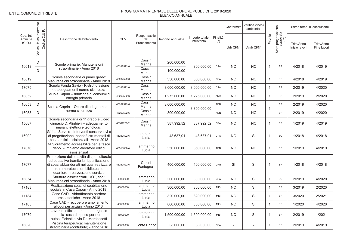|                               |                              |               |                                                                                                                                                                                                               |            |                                     |                   |                              |                       | Conformità  | Verifica vincoli<br>ambientali |                |                                          |                            | Stima tempi di esecuzione |
|-------------------------------|------------------------------|---------------|---------------------------------------------------------------------------------------------------------------------------------------------------------------------------------------------------------------|------------|-------------------------------------|-------------------|------------------------------|-----------------------|-------------|--------------------------------|----------------|------------------------------------------|----------------------------|---------------------------|
| Cod. Int.<br>Amm.ne<br>(C.O.) | Unico Intervento<br>Codice I | Codice C.U.P. | Descrizione dell'intervento                                                                                                                                                                                   | <b>CPV</b> | Responsabile<br>del<br>Procedimento | Importo annualità | Importo totale<br>intervento | Finalità<br>$(\star)$ | Urb $(S/N)$ | Amb (S/N)                      | Priorità       | Stato progettazione<br>approvata<br>(**) | Trim/Anno<br>Inizio lavori | Trim/Anno<br>Fine lavori  |
| 16018                         | D                            |               | Scuole primarie: Manutenzioni                                                                                                                                                                                 | 45262522-6 | Cassin<br>Marina                    | 200.000,00        | 300.000,00                   | CPA                   | <b>NO</b>   | <b>NO</b>                      | $\mathbf 1$    | SF                                       | 4/2018                     | 4/2019                    |
|                               | D                            |               | straordinarie - Anno 2018                                                                                                                                                                                     |            | Cassin<br>Marina                    | 100.000,00        |                              |                       |             |                                |                |                                          |                            |                           |
| 16019                         |                              |               | Scuole secondarie di primo grado:<br>Manutenzioni straordinarie - Anno 2018                                                                                                                                   | 45262522-6 | Cassin<br>Marina                    | 350.000,00        | 350.000,00                   | CPA                   | <b>NO</b>   | <b>NO</b>                      | $\mathbf 1$    | SF                                       | 4/2018                     | 4/2019                    |
| 17075                         |                              |               | Scuola Fonda Savio - Ristrutturazione<br>ed adequamenti norme sicurezza                                                                                                                                       | 45262522-6 | Cassin<br>Marina                    | 3.000.000,00      | 3.000.000,00                 | CPA                   | <b>NO</b>   | <b>NO</b>                      | $\overline{1}$ | <b>SF</b>                                | 2/2019                     | 4/2020                    |
| 16052                         |                              |               | Scuola Caprin - riduzione di consumi di<br>energia primaria                                                                                                                                                   | 45262522-6 | Cassin<br>Marina                    | 1.275.000,00      | 1.275.000,00                 | AMB                   | <b>NO</b>   | NO.                            | $\mathbf 1$    | PP                                       | 2/2019                     | 2/2020                    |
| 16053                         | D                            |               | Scuola Caprin - Opere di adeguamento                                                                                                                                                                          | 45262522-6 | Cassin<br>Marina                    | 3.000.000,00      | 3.300.000.00                 | ADN                   | <b>NO</b>   | <b>NO</b>                      | $\overline{1}$ | <b>SF</b>                                | 2/2019                     | 4/2020                    |
| 16053                         | D                            |               | norme sicurezza                                                                                                                                                                                               | 45262522-6 | Cassin<br>Marina                    | 300.000,00        |                              | <b>ADN</b>            | <b>NO</b>   | <b>NO</b>                      |                | <b>SF</b>                                | 2/2019                     | 4/2020                    |
| 15087                         |                              |               | Scuola secondaria di 1º grado e Liceo<br>ginnasio D. Alighieri - adeguamento<br>impianti elettrici e tecnologici                                                                                              | 45311200-2 | Cassin<br>Marina                    | 387.992,52        | 387.992,52                   | CPA                   | <b>NO</b>   | <b>NO</b>                      | $\mathbf{1}$   | <b>SF</b>                                | 1/2019                     | 4/2019                    |
| 16002                         |                              |               | Global Service - Interventi conservativi e<br>di progettazione, nonché strumentali di<br>base edifici assistenziali - Anno 2018                                                                               | 45262522-6 | lammarino<br>Lucia                  | 48.637,01         | 48.637,01                    | CPA                   | <b>NO</b>   | SI                             | $\mathbf{1}$   | SC                                       | 1/2018                     | 4/2018                    |
| 17076                         |                              |               | Miglioramento accessibilità per le fasce<br>deboli - Impianto elevatore edifici<br>assistenziali                                                                                                              | 45313000-4 | lammarino<br>Lucia                  | 350.000,00        | 350.000,00                   | ADN                   | <b>NO</b>   | <b>NO</b>                      | $\overline{1}$ | SF                                       | 1/2019                     | 4/2019                    |
| 17077                         |                              |               | Promozione delle attività di tipo culturale<br>ed educativo tramite la rigualificazione<br>di spazi abbandonati nei quali realizzare<br>una emeroteca con biblioteca di<br>quartiere - realizzazione servizio | 45262522-6 | Carlini<br>Fanfogna                 | 400.000.00        | 400.000.00                   | <b>URB</b>            | SI          | SI                             | $\overline{1}$ | <b>SF</b>                                | 1/2018                     | 4/2018                    |
| 16054                         |                              |               | Strutture assistenziali, UOT, ecc.:<br>Manutenzioni straordinarie - Anno 2018                                                                                                                                 | 45000000   | lammarino<br>Lucia                  | 300.000,00        | 300.000.00                   | CPA                   | <b>NO</b>   | SI                             | $\overline{1}$ | SC                                       | 2/2019                     | 4/2020                    |
| 17183                         |                              |               | Realizzazione spazi di coabitazione<br>sociale in Casa Capon - Anno 2018                                                                                                                                      | 45000000   | lammarino<br>Lucia                  | 300.000,00        | 300.000,00                   | <b>MIS</b>            | <b>NO</b>   | SI                             | $\overline{1}$ | SF                                       | 3/2019                     | 2/2020                    |
| 17184                         |                              |               | Case CAD - Abbattimento barriere<br>architettoniche - Anno 2018                                                                                                                                               |            | lammarino<br>Lucia                  | 320.000,00        | 320.000,00                   | <b>MIS</b>            | <b>NO</b>   | SI                             | $\overline{1}$ | <b>SF</b>                                | 3/2020                     | 2/2021                    |
| 17185                         |                              |               | Case CAD - recupero e ampliamento<br>alloggi per anziani - Anno 2018                                                                                                                                          | 45000000   | lammarino<br>Lucia                  | 800.000,00        | 800.000,00                   | <b>MIS</b>            | <b>NO</b>   | SI                             | $\overline{1}$ | SF                                       | 1/2020                     | 4/2020                    |
| 17079                         |                              |               | Lavori di efficientamento energetico<br>della casa di riposo per non<br>autosufficienti di via De Marchesetti                                                                                                 | 45000000   | lammarino<br>Lucia                  | 1.500.000,00      | 1.500.000,00                 | <b>MIS</b>            | <b>NO</b>   | SI                             | $\mathbf 1$    | <b>SF</b>                                | 2/2019                     | 1/2021                    |
| 16020                         |                              |               | Piscina terapeutica: manutenzione<br>straordinaria (contributo) - anno 2018                                                                                                                                   | 45000000   | Conte Enrico                        | 38.000,00         | 38.000,00                    | CPA                   |             |                                | $\mathbf{1}$   | SF                                       | 2/2019                     | 4/2019                    |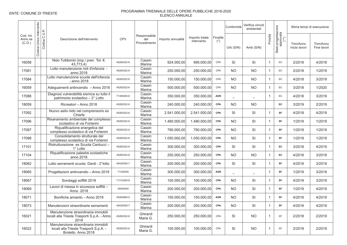|                               |                            |               |                                                                                                     |            |                                     |                   |                              |                       | Conformità               | Verifica vincoli<br>ambientali |              |                                          |                            | Stima tempi di esecuzione |
|-------------------------------|----------------------------|---------------|-----------------------------------------------------------------------------------------------------|------------|-------------------------------------|-------------------|------------------------------|-----------------------|--------------------------|--------------------------------|--------------|------------------------------------------|----------------------------|---------------------------|
| Cod. Int.<br>Amm.ne<br>(C.O.) | Unico Intervento<br>Codice | Codice C.U.P. | Descrizione dell'intervento                                                                         | <b>CPV</b> | Responsabile<br>del<br>Procedimento | Importo annualità | Importo totale<br>intervento | Finalità<br>$(\star)$ | Urb $(S/N)$              | Amb $(S/N)$                    | Priorità     | Stato progettazione<br>approvata<br>(**) | Trim/Anno<br>Inizio lavori | Trim/Anno<br>Fine lavori  |
| 16058                         |                            |               | Nido Tuttibimbi (imp./ pren. Tot. €.<br>43,773,4)                                                   | 45262522-6 | Cassin<br>Marina                    | 924.000,00        | 995.000,00                   | CPA                   | <b>SI</b>                | SI                             | $\mathbf{1}$ | SC                                       | 2/2018                     | 4/2018                    |
| 17081                         |                            |               | Lotto manutenzione nidi d'infanzia -<br>anno 2018                                                   | 45262522-6 | Cassin<br>Marina                    | 250.000,00        | 250.000,00                   | CPA                   | <b>NO</b>                | <b>NO</b>                      | $\mathbf{1}$ | SC                                       | 2/2018                     | 1/2019                    |
| 17084                         |                            |               | Lotto manutenzione scuole dell'infanzia<br>- anno 2018                                              | 45262522-6 | Cassin<br>Marina                    | 150.000,00        | 150.000,00                   | CPA                   | <b>NO</b>                | <b>NO</b>                      | $\mathbf{1}$ | <b>SC</b>                                | 4/2018                     | 3/2019                    |
| 16059                         |                            |               | Adeguamenti antincendio - Anno 2018                                                                 | 45262522-6 | Cassin<br>Marina                    | 500.000,00        | 500.000,00                   | CPA                   | <b>NO</b>                | <b>NO</b>                      | $\mathbf{1}$ | SC                                       | 3/2018                     | 1/2020                    |
| 17088                         |                            |               | Diagnosi vulnerabilità sismica su tutto il<br>patrimonio scolastico - 2° Lotto                      | 71350000-6 | Cassin<br>Marina                    | 350.000,00        | 350.000,00                   | <b>ADN</b>            | $\overline{\phantom{m}}$ |                                | $\mathbf{1}$ | SC                                       | 4/2018                     | 3/2019                    |
| 18059                         |                            |               | Ricreatori - Anno 2018                                                                              | 45262522-6 | Cassin<br>Marina                    | 240.000,00        | 240.000,00                   | CPA                   | <b>NO</b>                | <b>NO</b>                      |              | <b>SC</b>                                | 3/2019                     | 2/2019                    |
| 17092                         |                            |               | Nuovo asilo nido nel comprensorio ex<br>Chiarle                                                     | 45262522-6 | Cassin<br>Marina                    | 2.541.000,00      | 2.541.000.00                 | <b>CPA</b>            | <b>SI</b>                | <b>SI</b>                      | $\mathbf{1}$ | SF                                       | 4/2018                     | 4/2019                    |
| 17096                         |                            |               | Risanamento ambientale del complesso<br>scolastico di via Forlanini                                 | 45262522-6 | Cassin<br>Marina                    | 1.480.000,00      | 1.480.000,00                 | <b>CPA</b>            | <b>NO</b>                | SI                             | $\mathbf{1}$ | SF                                       | 1/2018                     | 1/2019                    |
| 17097                         |                            |               | Riqualificazione energetica del<br>complesso scolastico di via Forlanini                            | 45262522-6 | Cassin<br>Marina                    | 790.000,00        | 790.000,00                   | CPA                   | <b>NO</b>                | SI                             | $\mathbf{1}$ | SF                                       | 1/2018                     | 1/2019                    |
| 17098                         |                            |               | Consolidamento strutturale del<br>complesso scolastico di via Forlanini                             | 45262522-6 | Cassin<br>Marina                    | 1.050.000,00      | 1.050.000.00                 | <b>CPA</b>            | <b>NO</b>                | <b>SI</b>                      | $\mathbf{1}$ | SF                                       | 1/2018                     | 1/2019                    |
| 17101                         |                            |               | Ristrutturazione ex Scuola Carducci -<br>$1^\circ$ Lotto                                            | 45262522-6 | Cassin<br>Marina                    | 300.000,00        | 300.000,00                   | CPA                   | SI                       | SI                             | $\mathbf{1}$ | <b>SC</b>                                | 3/2018                     | 4/2019                    |
| 17104                         |                            |               | Riqualificazione palestre scolastiche<br>anno 2018                                                  | 45262522-6 | Cassin<br>Marina                    | 250.000,00        | 250.000,00                   | <b>CPA</b>            | <b>NO</b>                | <b>NO</b>                      | $\mathbf{1}$ | SC                                       | 4/2018                     | 3/2019                    |
| 18062                         |                            |               | Lotto serramenti scuola Dardi - 2°lotto                                                             | 45420000-7 | Cassin<br>Marina                    | 200.000,00        | 200.000,00                   | CPA                   | SI                       | SI                             | $\mathbf{1}$ | SF                                       | 4/2018                     | 3/2019                    |
| 18065                         |                            |               | Progettazioni antincendio - Anno 2018                                                               | 71330000   | Cassin<br>Marina                    | 300.000,00        | 300.000,00                   | <b>ADN</b>            | $\overline{\phantom{0}}$ |                                | $\mathbf{1}$ | SF                                       | 1/2019                     | 3/2019                    |
| 18067                         |                            |               | Sondaggi soffitti 2018                                                                              | 71312000-8 | Cassin<br>Marina                    | 100.000,00        | 100.000,00                   | <b>CPA</b>            | <b>NO</b>                | SI                             | $\mathbf{1}$ | SF                                       | 4/2018                     | 3/2019                    |
| 18069                         |                            |               | Lavori di messa in sicurezza soffitti -<br>Anno 2018                                                | 45000000   | Cassin<br>Marina                    | 200.000,00        | 200.000,00                   | CPA                   | <b>NO</b>                | SI                             | $\mathbf{1}$ | SF                                       | 1/2019                     | 4/2019                    |
| 18071                         |                            |               | Bonifiche amianto - Anno 2018                                                                       | 45262660-5 | Cassin<br>Marina                    | 150.000,00        | 150.000.00                   | <b>ADN</b>            | <b>NO</b>                | SI                             | $\mathbf{1}$ | <b>SF</b>                                | 4/2018                     | 4/2019                    |
| 18073                         |                            |               | Manutenzioni straordinarie serramenti                                                               | 45420000-7 | Cassin<br>Marina                    | 200.000,00        | 200.000,00                   | CPA                   | <b>NO</b>                | SI                             | $\mathbf{1}$ | SF                                       | 4/2018                     | 4/2019                    |
| 16021                         |                            |               | Manutenzione straordinaria immobili<br>locati alla Trieste Trasporti S.p.A. - Anno<br>2018          | 45262522-6 | Ghirardi<br>Maria G.                | 250.000,00        | 250.000,00                   | CPA                   | SI                       | <b>NO</b>                      | $\mathbf{1}$ | SF                                       | 2/2018                     | 2/2019                    |
| 16022                         |                            |               | Manutenzione straordinaria immobili<br>locati alla Trieste Trasporti S.p.A. -<br>Broletto Anno 2018 | 45262522-6 | Ghirardi<br>Maria G.                | 100.000,00        | 100.000,00                   | CPA                   | SI                       | <b>NO</b>                      | $\mathbf{1}$ | <b>SF</b>                                | 2/2018                     | 2/2019                    |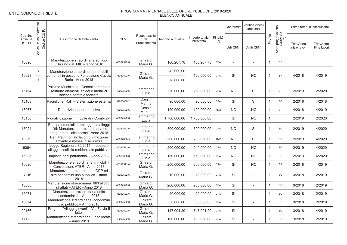|                               | Intervento      |               |                                                                                                                        |            |                                     |                   |                              |                       | Conformità     | Verifica vincoli<br>ambientali |                |                                          |                            | Stima tempi di esecuzione |
|-------------------------------|-----------------|---------------|------------------------------------------------------------------------------------------------------------------------|------------|-------------------------------------|-------------------|------------------------------|-----------------------|----------------|--------------------------------|----------------|------------------------------------------|----------------------------|---------------------------|
| Cod. Int.<br>Amm.ne<br>(C.O.) | Unico<br>Codice | Codice C.U.P. | Descrizione dell'intervento                                                                                            | <b>CPV</b> | Responsabile<br>del<br>Procedimento | Importo annualità | Importo totale<br>intervento | Finalità<br>$(\star)$ | Urb $(S/N)$    | Amb (S/N)                      | Priorità       | Stato progettazione<br>approvata<br>(**) | Trim/Anno<br>Inizio lavori | Trim/Anno<br>Fine lavori  |
| 16096                         |                 |               | Manutenzione straordinaria edificio<br>utilizzato dal MIB - anno 2018                                                  | 45262522-6 | Ghirardi<br>Maria G.                | 160.267,78        | 160.267,78                   | CPA                   | $\overline{a}$ | $\overline{a}$                 | $\mathbf{1}$   | <b>SF</b>                                | $\overline{\phantom{0}}$   |                           |
| 16023                         | D               |               | Manutenzione straordinaria immobili<br>comunali in gestione Fondazione Caccia                                          | 45262522-6 | Ghirardi                            | 42.000,00         | 120.000,00                   | CPA                   | SI             | <b>NO</b>                      | $\overline{1}$ | SF                                       | 4/2018                     | 4/2019                    |
|                               | D               |               | Burlo - Anno 2018                                                                                                      |            | Maria G.                            | 78.000,00         |                              |                       |                |                                |                |                                          |                            |                           |
| 15164                         |                 |               | Palazzo Municipale - Consolidamento e<br>restauro elementi lapidei e metallici<br>sezione centrale facciata            | 45262522-6 | lammarino<br>Lucia                  | 250.000,00        | 250.000.00                   | CPA                   | <b>NO</b>      | SI                             | $\overline{1}$ | <b>SF</b>                                | 2/2019                     | 2/2020                    |
| 15168                         |                 |               | Padiglione Ralli - Sistemazione esterna                                                                                | 34928400-2 | Cassin<br>Marina                    | 90.000,00         | 90.000,00                    | CPA                   | SI             | SI                             | $\overline{1}$ | <b>SC</b>                                | 2/2018                     | 4/2018                    |
| 18077                         |                 |               | Demolizioni opere abusive                                                                                              | 45262522-6 | Cassin<br>Marina                    | 120.000,00        | 120.000,00                   | AMB                   | <b>NO</b>      | <b>NO</b>                      | $\mathbf{1}$   | <b>SF</b>                                | 4/2018                     | 4/2019                    |
| 18150                         |                 |               | Riqualificazione immobile di v.Combi 2-4                                                                               | 45262522-6 | lammarino<br>Lucia                  | 1.700.000,00      | 1.700.000.00                 |                       | SI             | <b>NO</b>                      | $\mathbf{1}$   |                                          | 2/2019                     | 2/2020                    |
| 16024                         |                 |               | Beni patrimoniali, parcheggi ed alloggi<br>sfitti: Manutenzione straordinaria ed<br>adequamenti alle norme - Anno 2018 | 45262522-6 | lammarino<br>Lucia                  | 300.000,00        | 300.000,00                   | CPA                   | <b>NO</b>      | SI                             | $\overline{1}$ | SC                                       | 2/2019                     | 4/2020                    |
| 18079                         |                 |               | Beni Patrimoniali: lavori di rimozione<br>amianto e messa in sicurezza                                                 | 45262660-5 | lammarino<br>Lucia                  | 200.000,00        | 200.000,00                   | AMB                   | <b>NO</b>      | SI                             | $\mathbf{1}$   | SC                                       | 2/2019                     | 4/2020                    |
| 16064                         |                 |               | Legge Regionale 80/2014 - recupero<br>alloggi di edilizia residenziale pubblica                                        | 45262522-6 | lammarino<br>Lucia                  | 200.000,00        | 240.000,00                   | CPA                   | <b>NO</b>      | <b>NO</b>                      | $\mathbf{1}$   | SC                                       | 2/2019                     | 4/2020                    |
| 16025                         |                 |               | Impianti beni patrimoniali - Anno 2018                                                                                 | 45315000-8 | lammarino<br>Lucia                  | 150.000,00        | 150.000,00                   | CPA                   | <b>NO</b>      | <b>NO</b>                      | $\overline{1}$ | SC                                       | 2/2019                     | 4/2020                    |
| 16026                         |                 |               | Manutenzione straordinaria immobili -<br>Convenzione ATER - Anno 2018                                                  | 45262522-6 | Ghirardi<br>Maria G.                | 200.000,00        | 200.000,00                   | CPA                   | SI             | <b>NO</b>                      | $\mathbf{1}$   | <b>SF</b>                                | 2/2018                     | 1/2019                    |
| 17116                         |                 |               | Manutenzione straordinaria OPP ed<br>altri condomini uso pubblico – anno<br>2018                                       | 45262522-6 | Ghirardi<br>Maria G.                | 10.000.00         | 10.000.00                    | CPA                   | SI             |                                | $\overline{1}$ | <b>SC</b>                                | 3/2018                     | 2/2019                    |
| 16068                         |                 |               | Manutenzione straordinaria 663 alloggi<br>sfrattati - ATER - Anno 2018                                                 | 45262522-6 | Ghirardi<br>Maria G.                | 200.000,00        | 200.000,00                   | CPA                   | <b>SI</b>      | $\sim$                         | $\overline{1}$ | SC                                       | 3/2018                     | 2/2019                    |
| 16071                         |                 |               | Manutenzione straordinaria unità<br>condominiali - Anno 2018                                                           | 45262522-6 | Ghirardi<br>Maria G.                | 20.000,00         | 20.000,00                    | CPA                   | SI             | ÷.                             | $\overline{1}$ | SC                                       | 3/2018                     | 2/2019                    |
| 16074                         |                 |               | Manutenzione straordinaria condomini<br>uso pubblico - Anno 2018                                                       | 45262522-6 | Ghirardi<br>Maria G.                | 30.000,00         | 30.000,00                    | CPA                   | SI             | ÷.                             | $\mathbf{1}$   | SC                                       | 3/2018                     | 2/2019                    |
| 09166                         |                 |               | Progetto "Alloggi giovani" - Via Flavia II<br>lotto                                                                    | 45262522-6 | Ghirardi<br>Maria G.                | 147.094,29        | 747.091,29                   | CPA                   | SI             | $\overline{\phantom{a}}$       | $\mathbf{1}$   | SC                                       | 3/2018                     | 4/2019                    |
| 17123                         |                 |               | Manutenzione straordinaria unità locate<br>- anno 2018                                                                 | 45262522-6 | Ghirardi<br>Maria G.                | 100.000,00        | 100.000,00                   | CPA                   | SI             |                                | $\mathbf{1}$   | <b>SC</b>                                | 3/2018                     | 2/2019                    |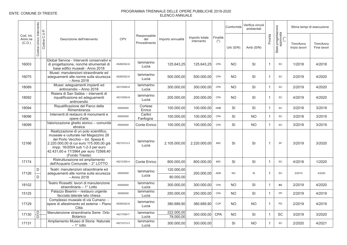|                               |                            |                                                                                                                                                                                                                                                               |            |                                     |                         |                              |                   | Conformità | Verifica vincoli<br>ambientali |                |                                          |                            | Stima tempi di esecuzione |
|-------------------------------|----------------------------|---------------------------------------------------------------------------------------------------------------------------------------------------------------------------------------------------------------------------------------------------------------|------------|-------------------------------------|-------------------------|------------------------------|-------------------|------------|--------------------------------|----------------|------------------------------------------|----------------------------|---------------------------|
| Cod. Int.<br>Amm.ne<br>(C.O.) | Unico Intervento<br>Codice | Codice C.U.P.<br>Descrizione dell'intervento                                                                                                                                                                                                                  | CPV        | Responsabile<br>del<br>Procedimento | Importo annualità       | Importo totale<br>intervento | Finalità<br>$(*)$ | Urb(S/N)   | Amb (S/N)                      | Priorità       | Stato progettazione<br>approvata<br>(**) | Trim/Anno<br>Inizio lavori | Trim/Anno<br>Fine lavori  |
| 16003                         |                            | Global Service - Interventi conservativi e<br>di progettazione, nonché strumentali di<br>base edifici museali - Anno 2018                                                                                                                                     | 45262522-6 | lammarino<br>Lucia                  | 125.643,25              | 125.643,25                   | <b>CPA</b>        | <b>NO</b>  | <b>SI</b>                      | $\overline{1}$ | <b>SC</b>                                | 1/2018                     | 4/2018                    |
| 16075                         |                            | Musei: manutenzioni straordinarie ed<br>adeguamenti alle norme sulla sicurezza<br>- Anno 2018                                                                                                                                                                 | 45262522-6 | lammarino<br>Lucia                  | 500.000,00              | 500.000,00                   | CPA               | <b>NO</b>  | SI                             | $\overline{1}$ | SC                                       | 2/2019                     | 4/2020                    |
| 18089                         |                            | Musei: adeguamenti impianti ed<br>antincendio - Anno 2018                                                                                                                                                                                                     | 45315000-8 | lammarino<br>Lucia                  | 300.000,00              | 300.000.00                   | CPA               | <b>NO</b>  | SI                             | $\overline{1}$ | <b>SC</b>                                | 2/2019                     | 4/2020                    |
| 18092                         |                            | Risiera di San Sabba - interventi di<br>riqualificazione ed adequamenti<br>antincendio                                                                                                                                                                        | 45315000-8 | lammarino<br>Lucia                  | 200.000,00              | 200.000,00                   | CPA               | <b>NO</b>  | SI                             | $\mathbf{1}$   | SC                                       | 4/2019                     | 4/2020                    |
| 18094                         |                            | Riqualificazione del Parco della<br>Rimembranza                                                                                                                                                                                                               | 45000000   | Cortese<br>Enrico                   | 100.000,00              | 100.000,00                   | AMB               | SI         | SI                             | $\overline{1}$ | <b>SC</b>                                | 3/2018                     | 3/2019                    |
| 18096                         |                            | Interventi di restauro di monumenti e<br>opere d'arte                                                                                                                                                                                                         | 45000000   | Carlini<br>Fanfogna                 | 100.000,00              | 100.000,00                   | CPA               | SI         | <b>NO</b>                      | $\overline{1}$ | <b>SC</b>                                | 3/2018                     | 3/2019                    |
| 18099                         |                            | Valorizzazione ghetto storico - comunità<br>ebraica                                                                                                                                                                                                           | 45000000   | Conte Enrico                        | 100.000,00              | 100.000,00                   | CPA               | SI         | <b>NO</b>                      | $\overline{1}$ | SC                                       | 3/2018                     | 3/2019                    |
| 12166                         |                            | Realizzazione di un polo scientifico,<br>museale e culturale nel Magazzino 26<br>del Porto Vecchio – tot. Spesa €.<br>2.220.000,00 di cui euro 115.000,00 già<br>impp. 16/2004 sub 1-2-3 per euro<br>42.431,60 e 17/3964 per euro 72568,40<br>(Fondo Trieste) | 45212313-3 | lammarino<br>Lucia                  | 2.105.000,00            | 2.220.000.00                 | <b>MIS</b>        | SI         | SI                             | $\overline{1}$ | <b>SF</b>                                | 3/2019                     | 3/2020                    |
| 17174                         |                            | Ristrutturazione ed ampliamento<br>dell'Acquario Comunale - 2° LOTTO                                                                                                                                                                                          | 45212350-4 | Conte Enrico                        | 800.000,00              | 800.000,00                   | <b>MIS</b>        | SI         | SI                             | $\overline{1}$ | <b>SC</b>                                | 4/2018                     | 1/2020                    |
| 17126                         | D                          | Teatri: manutenzioni straordinarie ed<br>adequamenti alle norme sulla sicurezza                                                                                                                                                                               | 45000000   | lammarino                           | 120.000.00              | 200.000,00                   | <b>ADN</b>        | <b>NO</b>  | SI                             | $\overline{1}$ | <b>SC</b>                                | 2/2019                     | 4/2020                    |
|                               | D                          | - Anno 2018                                                                                                                                                                                                                                                   |            | Lucia                               | 80.000,00               |                              |                   |            |                                |                |                                          |                            |                           |
| 18102                         |                            | Teatro Rossetti: lavori di manutenzione<br>straordinaria - 1° Lotto                                                                                                                                                                                           | 45000000   | lammarino<br>Lucia                  | 300.000,00              | 300.000,00                   | CPA               | <b>NO</b>  | SI                             | $\overline{1}$ | <b>SC</b>                                | 2/2019                     | 4/2020                    |
| 15125                         |                            | Palazzo Biserini - restauro urgente<br>facciata laterale lato chiesa                                                                                                                                                                                          | 45000000   | lammarino<br>Lucia                  | 250.000,00              | 250.000,00                   | CPA               | <b>NO</b>  | SI                             | $\overline{1}$ | <b>PP</b>                                | 2/2019                     | 4/2019                    |
| 17129                         |                            | Complesso museale di via Cumano -<br>opere di allestimento ed esterne - Piano<br>Città                                                                                                                                                                        | 45262522-6 | lammarino<br>Lucia                  | 380.689,90              | 380.689.90                   | COP               | <b>NO</b>  | <b>NO</b>                      | $\overline{1}$ | <b>PD</b>                                | 2/2019                     | 4/2019                    |
| 17130                         | D<br>$\overline{D}$        | Manutenzione straordinaria Serre Orto<br><b>Botanico</b>                                                                                                                                                                                                      | 44211500-7 | lammarino<br>Lucia                  | 222.000,00<br>78.000,00 | 300.000,00                   | <b>CPA</b>        | <b>NO</b>  | <b>SI</b>                      | $\mathbf{1}$   | <b>SC</b>                                | 3/2019                     | 3/2020                    |
| 17131                         |                            | Ampliamento Museo di Storia Naturale<br>$-1^{\circ}$ lotto                                                                                                                                                                                                    | 45212313-3 | lammarino<br>Lucia                  | 300.000,00              | 300.000,00                   |                   | SI         | <b>NO</b>                      | $\overline{1}$ | <b>SC</b>                                | 2/2020                     | 4/2021                    |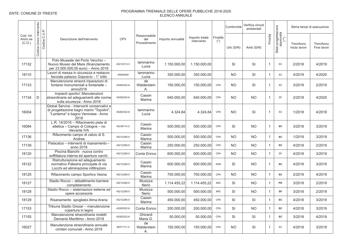|                               |                                               |                                                                                                                                       |            |                                     |                   |                              |                   | Conformità | Verifica vincoli<br>ambientali |                |                                          |                            | Stima tempi di esecuzione |
|-------------------------------|-----------------------------------------------|---------------------------------------------------------------------------------------------------------------------------------------|------------|-------------------------------------|-------------------|------------------------------|-------------------|------------|--------------------------------|----------------|------------------------------------------|----------------------------|---------------------------|
| Cod. Int.<br>Amm.ne<br>(C.O.) | Unico Intervento<br>Codice C.U.P.<br>Codice I | Descrizione dell'intervento                                                                                                           | <b>CPV</b> | Responsabile<br>del<br>Procedimento | Importo annualità | Importo totale<br>intervento | Finalità<br>$(*)$ | Urb(S/N)   | Amb $(S/N)$                    | Priorità       | Stato progettazione<br>approvata<br>(**) | Trim/Anno<br>Inizio lavori | Trim/Anno<br>Fine lavori  |
| 17132                         |                                               | Polo Museale del Porto Vecchio -<br>Nuovo Museo del Mare (finanziamento<br>per 23.000.000,00 euro) - Anno 2018                        | 45212313-3 | lammarino<br>Lucia                  | 1.150.000.00      | 1.150.000.00                 |                   | SI         | <b>SI</b>                      | $\mathbf{1}$   | SC                                       | 2/2018                     | 4/2019                    |
| 18110                         |                                               | Lavori di messa in sicurezza e restauro<br>facciata palazzo Gopcevic - 1° lotto                                                       | 45000000   | lammarino<br>Lucia                  | 350.000,00        | 350.000,00                   |                   | <b>NO</b>  | SI                             | $\mathbf 1$    | SC                                       | 4/2019                     | 4/2020                    |
| 17133                         |                                               | Manutenzione straord./riparazioni di<br>fontane monumentali e fontanelle -<br>anno2018                                                | 45262522-6 | de<br>Walderstein<br>Α.             | 150.000,00        | 150.000,00                   | CPA               | <b>NO</b>  | SI                             | $\mathbf{1}$   | SC                                       | 3/2018                     | 2/2019                    |
| 17134                         | D                                             | Impianti sportivi: Manutenzioni<br>straordinarie ed adeguamenti alle norme<br>sulla sicurezza - Anno 2018                             | 45262522-6 | Cassin<br>Marina                    | 640.000,00        | 640.000,00                   | CPA               | <b>NO</b>  | <b>NO</b>                      | $\overline{1}$ | <b>SF</b>                                | 2/2018                     | 4/2020                    |
| 16004                         |                                               | Global Service - Interventi conservativi e<br>di progettazione bagni marini "Topolini",<br>"Lanterna" e bagno Veronese - Anno<br>2018 | 45262522-6 | lammarino<br>Lucia                  | 4.324,84          | 4.324.84                     | CPA               | <b>NO</b>  | <b>SI</b>                      | $\mathbf{1}$   | SC                                       | 1/2018                     | 4/2018                    |
| 16084                         |                                               | L.R. 14/2016 - Rifacimento pista di<br>atletica - Campo di Cologna - no<br>rilevante IVA                                              | 45236114-2 | Cassin<br>Marina                    | 500.000,00        | 500.000,00                   | CPA               | SI         | <b>NO</b>                      | $\mathbf{1}$   | SC                                       | 3/2018                     | 3/2019                    |
| 17136                         |                                               | Rifacimento campo di calcio di S.<br>Andrea                                                                                           | 45212290-5 | Cassin<br>Marina                    | 500.000,00        | 500.000,00                   | CPA               | <b>NO</b>  | <b>NO</b>                      | $\mathbf{1}$   | SC                                       | 1/2019                     | 3/2019                    |
| 17139                         |                                               | Palacalza - interventi di risanamento -<br>anno 2018                                                                                  | 45212290-5 | Cassin<br>Marina                    | 250.000,00        | 250.000,00                   | CPA               | <b>NO</b>  | <b>NO</b>                      | $\overline{1}$ | SC                                       | 4/2018                     | 2/2019                    |
| 18120                         |                                               | Piscina Bianchi- nuova contro<br>soffittatura interna ed apertura varchi                                                              | 45212290-5 | Conte Enrico                        | 600.000,00        | 600.000,00                   | CPA               | <b>NO</b>  | <b>NO</b>                      | $\mathbf{1}$   | <b>SF</b>                                | 4/2018                     | 3/2019                    |
| 18122                         |                                               | Ristrutturazione ed adeguamento<br>normativo Palestra principale di via<br>Locchi ed eliminazione infiltrazioni                       | 45212290-5 | Cassin<br>Marina                    | 600.000,00        | 600.000,00                   | ADN               | SI         | <b>NO</b>                      | $\mathbf{1}$   | SC                                       | 4/2018                     | 3/2019                    |
| 18125                         |                                               | Rifacimento campo Sportivo Vesna                                                                                                      | 45212290-5 | Cassin<br>Marina                    | 700.000,00        | 700.000,00                   | CPA               | <b>NO</b>  | <b>NO</b>                      | $\mathbf{1}$   | SC                                       | 2/2019                     | 4/2019                    |
| 18127                         |                                               | Stadio Rocco - abbattimento barriere<br>completamento                                                                                 | 45212290-5 | Musizza<br>Nerio                    | 1.114.455,22      | 1.114.455,22                 | <b>MIS</b>        | <b>SI</b>  | <b>NO</b>                      | $\mathbf{1}$   | PD                                       | 3/2018                     | 2/2019                    |
| 18128                         |                                               | Stadio Rocco - sistemazioni esterne ed<br>opere accessorie                                                                            | 45212290-5 | Musizza<br>Nerio                    | 500.000,00        | 500.000,00                   | <b>MIS</b>        | SI         | <b>NO</b>                      | $\overline{1}$ | SF                                       | 3/2018                     | 2/2019                    |
| 18129                         |                                               | Risanamento spogliatoi Alma Arena                                                                                                     | 45212290-5 | Cassin<br>Marina                    | 450.000.00        | 450.000,00                   | CPA               | SI         | <b>SI</b>                      | $\mathbf{1}$   | SC                                       | 4/2018                     | 3/2019                    |
| 17153                         |                                               | Tribuna Stadio Grezar - manutenzione<br>copertura in legno                                                                            | 45262522-6 | Conte Enrico                        | 200.000,00        | 200.000,00                   | CPA               | SI         | <b>NO</b>                      | $\mathbf{1}$   | <b>SC</b>                                | 4/2018                     | 3/2019                    |
| 17155                         |                                               | Manutenzione straordinaria moletti<br>Demanio Marittimo - Anno 2018                                                                   | 45262522-6 | Ghirardi<br>Maria G.                | 50.000,00         | 50.000,00                    | CPA               | SI         | SI                             | $\mathbf 1$    | SC                                       | 3/2018                     | 4/2019                    |
| 16027                         |                                               | Manutenzione straordinaria annuale<br>cimiteri comunali - Anno 2018                                                                   | 98371111-5 | de<br>Walderstein<br>А.             | 150.000.00        | 150.000.00                   | CPA               | <b>NO</b>  | <b>SI</b>                      | $\overline{1}$ | SC                                       | 4/2018                     | 3/2019                    |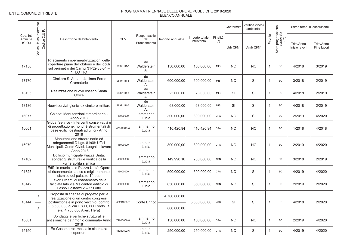|                               |                            |               |                                                                                                                                           |            |                                     |                   |                              |                       | Conformità  | Verifica vincoli<br>ambientali |                |                                          |                            | Stima tempi di esecuzione |
|-------------------------------|----------------------------|---------------|-------------------------------------------------------------------------------------------------------------------------------------------|------------|-------------------------------------|-------------------|------------------------------|-----------------------|-------------|--------------------------------|----------------|------------------------------------------|----------------------------|---------------------------|
| Cod. Int.<br>Amm.ne<br>(C.O.) | Unico Intervento<br>Codice | Codice C.U.P. | Descrizione dell'intervento                                                                                                               | CPV        | Responsabile<br>del<br>Procedimento | Importo annualità | Importo totale<br>intervento | Finalità<br>$(\star)$ | Urb $(S/N)$ | Amb (S/N)                      | Priorità       | Stato progettazione<br>approvata<br>(**) | Trim/Anno<br>Inizio lavori | Trim/Anno<br>Fine lavori  |
| 17158                         |                            |               | Rifacimento impermeabilizzazioni delle<br>coperture piane dell'obitorio e dei loculi<br>sul perimetro dei Campi 31-32-33-34 -<br>1° LOTTO | 98371111-5 | de<br>Walderstein<br>Α.             | 150.000,00        | 150.000,00                   | <b>MIS</b>            | <b>NO</b>   | <b>NO</b>                      | $\overline{1}$ | SC                                       | 4/2018                     | 3/2019                    |
| 17170                         |                            |               | Cimitero S. Anna - 4a linea Forno<br>Crematorio                                                                                           | 98371111-5 | de<br>Walderstein<br>Α.             | 600.000,00        | 600.000,00                   | <b>MIS</b>            | <b>NO</b>   | SI                             | $\overline{1}$ | SC                                       | 3/2018                     | 2/2019                    |
| 18135                         |                            |               | Realizzazione nuovo ossario Santa<br>Croce                                                                                                | 98371111-5 | de<br>Walderstein<br>А.             | 23.000,00         | 23.000,00                    | <b>MIS</b>            | SI          | SI                             | $\overline{1}$ | SC                                       | 4/2018                     | 2/2019                    |
| 18136                         |                            |               | Nuovi servizi igienici ex cimitero militare                                                                                               | 98371111-5 | de<br>Walderstein<br>А.             | 68.000,00         | 68.000,00                    | <b>MIS</b>            | SI          | SI                             | $\mathbf{1}$   | SC                                       | 4/2018                     | 2/2019                    |
| 16077                         |                            |               | Chiese: Manutenzioni straordinarie -<br>Anno 2018                                                                                         | 45000000   | lammarino<br>Lucia                  | 300.000.00        | 300.000.00                   | CPA                   | <b>NO</b>   | SI                             | $\mathbf{1}$   | SC                                       | 2/2019                     | 4/2020                    |
| 16001                         |                            |               | Global Service - Interventi conservativi e<br>di progettazione, nonché strumentali di<br>base edifici destinati ad uffici - Anno<br>2018  | 45262522-6 | lammarino<br>Lucia                  | 110.420,94        | 110.420,94                   | CPA                   | <b>NO</b>   | <b>NO</b>                      | $\overline{1}$ | SC                                       | 1/2018                     | 4/2018                    |
| 16079                         |                            |               | Manutenzione straordinaria ed<br>adeguamenti D.Lgs. 81/08: Uffici<br>Municipali, Centri Civici, Luoghi di lavoro<br>- Anno 2018           | 45000000   | lammarino<br>Lucia                  | 300.000,00        | 300.000.00                   | CPA                   | <b>NO</b>   | <b>NO</b>                      | $\overline{1}$ | SC                                       | 2/2019                     | 4/2020                    |
| 17162                         |                            |               | Edificio municipale Piazza Unità:<br>sondaggi strutturali e verifica della<br>vulnerabilità sismica                                       | 45000000   | lammarino<br>Lucia                  | 149.990,10        | 200.000.00                   | ADN                   | <b>NO</b>   | <b>NO</b>                      | $\overline{1}$ | PD                                       | 3/2018                     | 2/2019                    |
| 01325                         |                            |               | Edificio municipale Piazza Unità: Opere<br>di risanamento statico e miglioramento<br>sismico del palazzo 1° lotto                         | 45000000   | lammarino<br>Lucia                  | 500.000,00        | 500.000,00                   | CPA                   | <b>NO</b>   | SI                             | $\overline{1}$ | SC                                       | 4/2019                     | 4/2020                    |
| 18142                         |                            |               | Lavori urgenti di risanamento della<br>facciata lato via Malcanton edificio di<br>Passo Costanzi 2 - 1° Lotto                             | 45000000   | lammarino<br>Lucia                  | 650.000,00        | 650.000,00                   | ADN                   | <b>NO</b>   | SI                             | $\overline{1}$ | SC                                       | 2/2019                     | 2/2020                    |
| 18144                         | D                          |               | Proposta di finanza di progetto per la<br>realizzazione di un centro congressi<br>polifunzionale in porto vecchio (contrib                | 45211350-7 | Conte Enrico                        | 4.700.000,00      | 5.500.000,00                 | <b>VAB</b>            | SI          | SI                             | $\overline{1}$ | <b>SF</b>                                | 4/2018                     | 2/2020                    |
|                               | D                          |               | €. 5.500.000 di cui € 800,000 Fondo TS<br>e €. 4.700.000 Alien. Hera)                                                                     |            |                                     | 800.000,00        |                              |                       |             |                                |                |                                          |                            |                           |
| 16081                         |                            |               | Sondaggi e verifiche strutturali e<br>antisismiche patrimonio comunale- Anno<br>2018                                                      | 71000000-8 | lammarino<br>Lucia                  | 150.000,00        | 150.000,00                   | CPA                   | <b>NO</b>   | <b>NO</b>                      | $\overline{1}$ | SC                                       | 2/2019                     | 4/2020                    |
| 15150                         |                            |               | Ex-Gasometro: messa in sicurezza<br>copertura                                                                                             | 45262522-6 | lammarino<br>Lucia                  | 250.000,00        | 250.000,00                   | CPA                   | <b>NO</b>   | SI                             | $\mathbf{1}$   | SC                                       | 4/2019                     | 4/2020                    |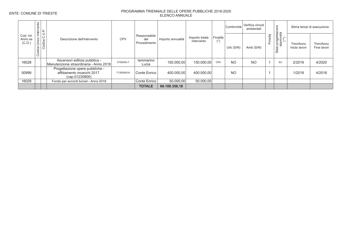|                               | Intervento                          |                                                                                 |            |                                     |                   |                              |                   | Conformità  | Verifica vincoli<br>ambientali |         | Ф<br>-<br>ttazion<br>ata                                           |                            | Stima tempi di esecuzione |
|-------------------------------|-------------------------------------|---------------------------------------------------------------------------------|------------|-------------------------------------|-------------------|------------------------------|-------------------|-------------|--------------------------------|---------|--------------------------------------------------------------------|----------------------------|---------------------------|
| Cod. Int.<br>Amm.ne<br>(C.O.) | C.U.P.<br>Unico<br>Codice<br>Codice | Descrizione dell'intervento                                                     | <b>CPV</b> | Responsabile<br>del<br>Procedimento | Importo annualità | Importo totale<br>intervento | Finalità<br>$(*)$ | Urb $(S/N)$ | Amb $(S/N)$                    | riorità | proget<br>approva<br>(**)<br>$\overline{\phantom{0}}$<br>5<br>Stai | Trim/Anno<br>Inizio lavori | Trim/Anno<br>Fine lavori  |
| 16028                         |                                     | Ascensori edilizia pubblica -<br>Manutenzione straordinaria - Anno 2018         | 5750000-7  | lammarino<br>Lucia                  | 150.000,00        | 150.000.00                   | CPA               | <b>NO</b>   | <b>NO</b>                      |         | SC                                                                 | 2/2019                     | 4/2020                    |
| 00999                         |                                     | Progettazione opere pubbliche -<br>affidamento incarichi 2017<br>(cap.01230800) | 71350000-6 | Conte Enrico                        | 400.000,00        | 400.000,00                   |                   | <b>NO</b>   |                                |         |                                                                    | 1/2018                     | 4/2018                    |
| 16029                         |                                     | Fondo per accordi bonari - Anno 2018                                            |            | Conte Enrico                        | 50.000,00         | 50.000,00                    |                   |             |                                |         |                                                                    |                            |                           |
|                               |                                     |                                                                                 |            | <b>TOTALE</b>                       | 66.108.356,18     |                              |                   |             |                                |         |                                                                    |                            |                           |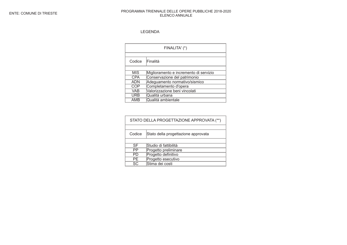### LEGENDA

|            | FINALITA' (*)                          |
|------------|----------------------------------------|
|            |                                        |
| Codice     | Finalità                               |
|            |                                        |
| <b>MIS</b> | Miglioramento e incremento di servizio |
| CPA        | Conservazione del patrimonio           |
| ADN        | Adeguamento normativo/sismico          |
| COP        | Completamento d'opera                  |
| <b>VAB</b> | Valorizzazione beni vincolati          |
| URB        | Qualità urbana                         |
| AMB        | Qualità ambientale                     |

| STATO DELLA PROGETTAZIONE APPROVATA (**) |                                     |
|------------------------------------------|-------------------------------------|
|                                          |                                     |
| Codice                                   | Stato della progettazione approvata |
|                                          |                                     |
| SF                                       | Studio di fattibilità               |
| PP                                       | Progetto preliminare                |
| PD                                       | Progetto definitivo                 |
| PF.                                      | Progetto esecutivo                  |
| SC.                                      | Stima dei costi                     |